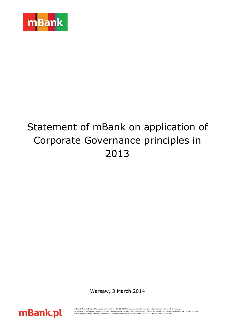

# Statement of mBank on application of Corporate Governance principles in 2013

Warsaw, 3 March 2014



mBank S.A. z siedzibą w Warszawie, ul. Senatorska 18, 00-950 Warszawa, zarejestrowany przez Sąd Rejonowy dla m. st. Warszawy,<br>XII Wydział Gospodarczy Krajowego Rejestru Sądowego pod numerem KRS 0000025237, posiadający nume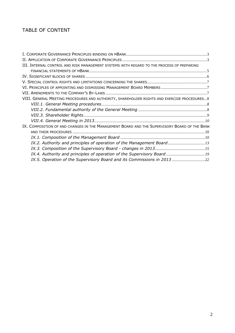# TABLE OF CONTENT

| III. INTERNAL CONTROL AND RISK MANAGEMENT SYSTEMS WITH REGARD TO THE PROCESS OF PREPARING    |
|----------------------------------------------------------------------------------------------|
|                                                                                              |
|                                                                                              |
|                                                                                              |
|                                                                                              |
|                                                                                              |
| VIII. GENERAL MEETING PROCEDURES AND AUTHORITY, SHAREHOLDER RIGHTS AND EXERCISE PROCEDURES 8 |
|                                                                                              |
|                                                                                              |
|                                                                                              |
|                                                                                              |
| IX. COMPOSITION OF AND CHANGES IN THE MANAGEMENT BOARD AND THE SUPERVISORY BOARD OF THE BANK |
|                                                                                              |
|                                                                                              |
| IX.2. Authority and principles of operation of the Management Board13                        |
|                                                                                              |
|                                                                                              |
| IX.5. Operation of the Supervisory Board and its Commissions in 2013 22                      |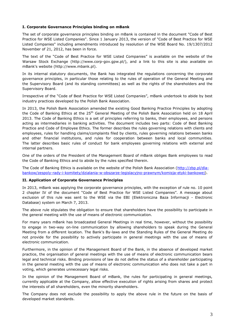# <span id="page-2-0"></span>**I. Corporate Governance Principles binding on mBank**

The set of corporate governance principles binding on mBank is contained in the document "Code of Best Practice for WSE Listed Companies". Since 1 January 2013, the version of "Code of Best Practice for WSE Listed Companies" including amendments introduced by resolution of the WSE Board No. 19/1307/2012 November of 21, 2012, has been in force.

The text of the "Code of Best Practice for WSE Listed Companies" is available on the website of the Warsaw Stock Exchange [\(http://www.corp-gov.gpw.pl/\)](http://www.corp-gov.gpw.pl/), and a link to this site is also available on mBank's website [\(http://www.mbank.pl\)](http://www.brebank.pl/).

In its internal statutory documents, the Bank has integrated the regulations concerning the corporate governance principles, in particular those relating to the rules of operation of the General Meeting and the Supervisory Board (and its standing committees) as well as the rights of the shareholders and the Supervisory Board.

Irrespective of the "Code of Best Practice for WSE Listed Companies", mBank undertook to abide by best industry practices developed by the Polish Bank Association.

In 2013, the Polish Bank Association amended the existing Good Banking Practice Principles by adopting the Code of Banking Ethics at the 25<sup>th</sup> General Meeting of the Polish Bank Association held on 18 April 2013. The Code of Banking Ethics is a set of principles referring to banks, their employees, and persons acting as intermediaries in banking activities. The document includes two parts: Code of Best Banking Practice and Code of Employee Ethics. The former describes the rules governing relations with clients and employees, rules for handling claims/complaints filed by clients, rules governing relations between banks and other financial institutions, and rules for cooperation between banks and local communities. The latter describes basic rules of conduct for bank employees governing relations with external and internal partners.

One of the orders of the President of the Management Board of mBank obliges Bank employees to read the Code of Banking Ethics and to abide by the rules specified therein.

The Code of Banking Ethics is available on the website of the Polish Bank Association [\(http://zbp.pl/dla](http://zbp.pl/dla-bankow/zespoly-rady-i-komitety/dzialania-w-obszarze-legislacyjno-prawnym/komisja-etyki-bankowej)[bankow/zespoly-rady-i-komitety/dzialania-w-obszarze-legislacyjno-prawnym/komisja-etyki-bankowej\)](http://zbp.pl/dla-bankow/zespoly-rady-i-komitety/dzialania-w-obszarze-legislacyjno-prawnym/komisja-etyki-bankowej).

# <span id="page-2-1"></span>**II. Application of Corporate Governance Principles**

In 2013, mBank was applying the corporate governance principles, with the exception of rule no. 10 point 2 chapter IV of the document "Code of Best Practice for WSE Listed Companies". A message about exclusion of this rule was sent to the WSE via the EBI (Elektroniczna Baza Informacji - Electronic Database) system on March 7, 2013.

The above rule stipulates the obligation to ensure that shareholders have the possibility to participate in the general meeting with the use of means of electronic communication.

For many years mBank has broadcasted General Meetings in real time, however, without the possibility to engage in two-way on-line communication by allowing shareholders to speak during the General Meeting from a different location. The Bank's By-laws and the Standing Rules of the General Meeting do not provide for the possibility to actively participate in general meetings with the use of means of electronic communication.

Furthermore, in the opinion of the Management Board of the Bank, in the absence of developed market practice, the organisation of general meetings with the use of means of electronic communication bears legal and technical risks. Binding provisions of law do not define the status of a shareholder participating in the general meeting with the use of means of electronic communication who does not take a part in voting, which generates unnecessary legal risks.

In the opinion of the Management Board of mBank, the rules for participating in general meetings, currently applicable at the Company, allow effective execution of rights arising from shares and protect the interests of all shareholders, even the minority shareholders.

The Company does not exclude the possibility to apply the above rule in the future on the basis of developed market standards.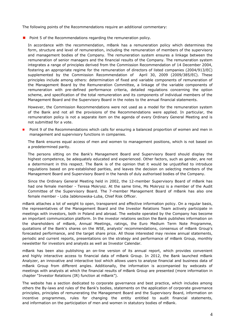The following points of the Recommendations require an additional commentary:

 $\blacksquare$  Point 5 of the Recommendations regarding the remuneration policy.

In accordance with the recommendation, mBank has a remuneration policy which determines the form, structure and level of remuneration, including the remuneration of members of the supervisory and management bodies of the Company. The remuneration system ensures a linkage between the remuneration of senior managers and the financial results of the Company. The remuneration system integrates a range of principles derived from the Commission Recommendation of 14 December 2004, fostering an appropriate regime for the remuneration of directors of listed companies (2004/913/EC) supplemented by the Commission Recommendation of April 30, 2009 (2009/385/EC). These principles include among others: determination of fixed and variable components of remuneration of the Management Board by the Remuneration Committee, a linkage of the variable components of remuneration with pre-defined performance criteria, detailed regulations concerning the option scheme, and specification of the total remuneration and its components of individual members of the Management Board and the Supervisory Board in the notes to the annual financial statements.

However, the Commission Recommendations were not used as a model for the remuneration system of the Bank and not all the provisions of the Recommendations were applied. In particular, the remuneration policy is not a separate item on the agenda of every Ordinary General Meeting and is not submitted for a vote.

 Point 9 of the Recommendations which calls for ensuring a balanced proportion of women and men in management and supervisory functions in companies.

The Bank ensures equal access of men and women to management positions, which is not based on a predetermined parity.

The persons sitting on the Bank's Management Board and Supervisory Board should display the highest competence, be adequately educated and experienced. Other factors, such as gender, are not a determinant in this respect. The Bank is of the opinion that it would be unjustified to introduce regulations based on pre-established parities, and leaves the decision on selecting members of the Management Board and Supervisory Board in the hands of duly authorised bodies of the Company.

Since the Ordinary General Meeting held in 2002, the 12-member Supervisory Board of mBank has had one female member - Teresa Mokrysz. At the same time, Ms Mokrysz is a member of the Audit Committee of the Supervisory Board. The 7-member Management Board of mBank has also one female member - Lidia Jabłonowska-Luba, Chief Risk Officer.

mBank attaches a lot of weight to open, transparent and effective information policy. On a regular basis, the representatives of the Management Board and the Investor Relations Team actively participate in meetings with investors, both in Poland and abroad. The website operated by the Company has become an important communication platform. In the investor relations section the Bank publishes information on the shareholders of mBank, Annual Meetings, ratings, the Euro Medium Term Note Programme, quotations of the Bank's shares on the WSE, analysts' recommendations, consensus of mBank Group's forecasted performance, and the target share price. All those interested may review annual statements, periodic and current reports, presentations on the strategy and performance of mBank Group, monthly newsletter for investors and analysts as well as Investor Calendar.

mBank has been also publishing an on-line version of its annual report, which provides convenient and highly interactive access to financial data of mBank Group. In 2012, the Bank launched mBank Analyzer, an innovative and interactive tool which allows users to analyse financial and business data of mBank Group from different angles. Additionally, the information is accompanied by webcasts of meetings with analysts at which the financial results of mBank Group are presented (more information in chapter "Investor Relations (IR) function at mBank").

The website has a section dedicated to corporate governance and best practice, which includes among others the By-laws and rules of the Bank's bodies, statements on the application of corporate governance principles, principles of remunerating the Management Board and the Supervisory Board, information on incentive programmes, rules for changing the entity entitled to audit financial statements, and information on the participation of men and women in statutory bodies of mBank.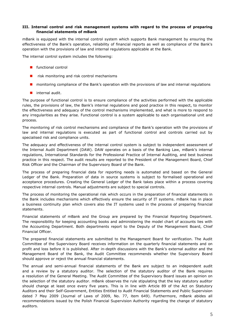# <span id="page-4-0"></span>**III. Internal control and risk management systems with regard to the process of preparing financial statements of mBank**

mBank is equipped with the internal control system which supports Bank management by ensuring the effectiveness of the Bank's operation, reliability of financial reports as well as compliance of the Bank's operation with the provisions of law and internal regulations applicable at the Bank.

The internal control system includes the following:

- **Functional control**
- risk monitoring and risk control mechanisms
- **n** monitoring compliance of the Bank's operation with the provisions of law and internal regulations
- **n** internal audit.

The purpose of functional control is to ensure compliance of the activities performed with the applicable rules, the provisions of law, the Bank's internal regulations and good practice in this respect, to monitor the effectiveness and adequacy of the control mechanisms implemented, and what is more to respond to any irregularities as they arise. Functional control is a system applicable to each organisational unit and process.

The monitoring of risk control mechanisms and compliance of the Bank's operation with the provisions of law and internal regulations is executed as part of functional control and controls carried out by specialised risk and compliance units.

The adequacy and effectiveness of the internal control system is subject to independent assessment of the Internal Audit Department (DAW). DAW operates on a basis of the Banking Law, mBank's internal regulations, International Standards for the Professional Practice of Internal Auditing, and best business practice in this respect. The audit results are reported to the President of the Management Board, Chief Risk Officer and the Chairman of the Supervisory Board of the Bank.

The process of preparing financial data for reporting needs is automated and based on the General Ledger of the Bank. Preparation of data in source systems is subject to formalised operational and acceptance procedures. Creating the General Ledger of the Bank takes place within a process covering respective internal controls. Manual adjustments are subject to special controls.

The process of monitoring the operational risk which occurs in the preparation of financial statements in the Bank includes mechanisms which effectively ensure the security of IT systems. mBank has in place a business continuity plan which covers also the IT systems used in the process of preparing financial statements.

Financial statements of mBank and the Group are prepared by the Financial Reporting Department. The responsibility for keeping accounting books and administering the model chart of accounts lies with the Accounting Department. Both departments report to the Deputy of the Management Board, Chief Financial Officer.

The prepared financial statements are submitted to the Management Board for verification. The Audit Committee of the Supervisory Board receives information on the quarterly financial statements and on profit and loss before it is published. After in-depth discussions with the Bank's external auditor and the Management Board of the Bank, the Audit Committee recommends whether the Supervisory Board should approve or reject the annual financial statements.

The annual and semi-annual financial statements of the Bank are subject to an independent audit and a review by a statutory auditor. The selection of the statutory auditor of the Bank requires a resolution of the General Meeting. The Audit Committee of the Supervisory Board issues an opinion on the selection of the statutory auditor. mBank observes the rule stipulating that the key statutory auditor should change at least once every five years. This is in line with Article 89 of the Act on Statutory Auditors and their Self-Government, Entities Entitled to Audit Financial Statements and Public Supervision dated 7 May 2009 (Journal of Laws of 2009, No. 77, item 649). Furthermore, mBank abides all recommendations issued by the Polish Financial Supervision Authority regarding the change of statutory auditors.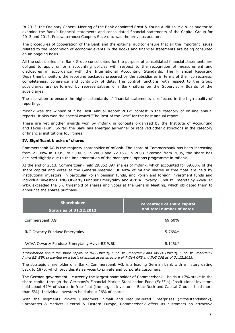In 2013, the Ordinary General Meeting of the Bank appointed Ernst & Young Audit sp. z o.o. as auditor to examine the Bank's financial statements and consolidated financial statements of the Capital Group for 2013 and 2014. PricewaterhouseCoopers Sp. z o.o. was the previous auditor.

The procedures of cooperation of the Bank and the external auditor ensure that all the important issues related to the recognition of economic events in the books and financial statements are being consulted on an ongoing basis.

All the subsidiaries of mBank Group consolidated for the purpose of consolidated financial statements are obliged to apply uniform accounting policies with respect to the recognition of measurement and disclosures in accordance with the International Accounting Standards. The Financial Reporting Department monitors the reporting packages prepared by the subsidiaries in terms of their correctness, completeness, coherence and continuity of data. The control functions with respect to the Group subsidiaries are performed by representatives of mBank sitting on the Supervisory Boards of the subsidiaries.

The aspiration to ensure the highest standards of financial statements is reflected in the high quality of reporting.

mBank was the winner of "The Best Annual Report 2012" contest in the category of on-line annual reports. It also won the special award "The Best of the Best" for the best annual report.

These are yet another awards won by mBank in contests organised by the Institute of Accounting and Taxes (IRiP). So far, the Bank has emerged as winner or received other distinctions in the category of financial institutions four times.

# <span id="page-5-0"></span>**IV. Significant blocks of shares**

Commerzbank AG is the majority shareholder of mBank. The share of Commerzbank has been increasing from 21.00% in 1995, to 50.00% in 2000 and 72.16% in 2003. Starting from 2005, the share has declined slightly due to the implementation of the managerial options programme in mBank.

At the end of 2013, Commerzbank held 29,352,897 shares of mBank, which accounted for 69.60% of the share capital and votes at the General Meeting. 30.40% of mBank shares in free float are held by institutional investors, in particular Polish pension funds, and Polish and foreign investment funds and individual investors. ING Otwarty Fundusz Emerytalny and AVIVA Otwarty Fundusz Emerytalny Aviva BZ WBK exceeded the 5% threshold of shares and votes at the General Meeting, which obligated them to announce the shares purchase.

| <b>Shareholder</b><br><b>Status as of 31.12.2013</b> | Percentage of share capital<br>and total number of votes |
|------------------------------------------------------|----------------------------------------------------------|
| Commerzbank AG                                       | 69.60%                                                   |
| <b>ING Otwarty Fundusz Emerytalny</b>                | $5.76\%*$                                                |
| AVIVA Otwarty Fundusz Emerytalny Aviva BZ WBK        | $5.11\%*$                                                |

**\****Information about the share capital of ING Otwarty Fundusz Emerytalny and AVIVA Otwarty Fundusz Emerytalny Aviva BZ WBK presented on a basis of annual asset structure of AVIVA OFE and ING OFE as of 31.12.2013.*

The strategic shareholder of mBank, Commerzbank AG, is a leading German bank with a history dating back to 1870, which provides its services to private and corporate customers.

The German government - currently the largest shareholder of Commerzbank - holds a 17% stake in the share capital through the Germany's Financial Market Stabilisation Fund (SoFFin). Institutional investors hold about 47% of shares in free float (the largest investors - BlackRock and Capital Group - hold more than 5%). Individual investors hold about 26% of shares.

With the segments Private Customers, Small and Medium-sized Enterprises (Mittelstandsbank), Corporates & Markets, Central & Eastern Europe, Commerzbank offers its customers an attractive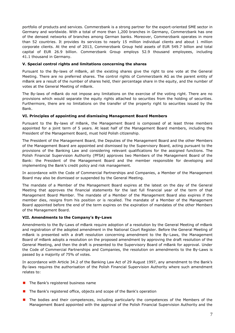portfolio of products and services. Commerzbank is a strong partner for the export-oriented SME sector in Germany and worldwide. With a total of more than 1,200 branches in Germany, Commerzbank has one of the densest networks of branches among German banks. Moreover, Commerzbank operates in more than 52 countries. It provides its services to nearly 15 million individual clients and about 1 million corporate clients. At the end of 2013, Commerzbank Group held assets of EUR 549.7 billion and total capital of EUR 26.9 billion. Commerzbank Group employs 52.9 thousand employees, including 41.1 thousand in Germany.

# <span id="page-6-0"></span>**V. Special control rights and limitations concerning the shares**

Pursuant to the By-laws of mBank, all the existing shares give the right to one vote at the General Meeting. There are no preferred shares. The control rights of Commerzbank AG as the parent entity of mBank are a result of the number of shares held, their percentage share in the equity, and the number of votes at the General Meeting of mBank.

The By-laws of mBank do not impose any limitations on the exercise of the voting right. There are no provisions which would separate the equity rights attached to securities from the holding of securities. Furthermore, there are no limitations on the transfer of the property right to securities issued by the Bank.

# <span id="page-6-1"></span>**VI. Principles of appointing and dismissing Management Board Members**

Pursuant to the By-laws of mBank, the Management Board is composed of at least three members appointed for a joint term of 5 years. At least half of the Management Board members, including the President of the Management Board, must hold Polish citizenship.

The President of the Management Board, the Deputies of the Management Board and the other Members of the Management Board are appointed and dismissed by the Supervisory Board, acting pursuant to the provisions of the Banking Law and considering relevant qualifications for the assigned functions. The Polish Financial Supervision Authority (PFSA) approves two Members of the Management Board of the Bank: the President of the Management Board and the member responsible for developing and implementing the Bank's credit policy and risk management.

In accordance with the Code of Commercial Partnerships and Companies, a Member of the Management Board may also be dismissed or suspended by the General Meeting.

The mandate of a Member of the Management Board expires at the latest on the day of the General Meeting that approves the financial statements for the last full financial year of the term of that Management Board Member. The mandate of a Member of the Management Board also expires if the member dies, resigns from his position or is recalled. The mandate of a Member of the Management Board appointed before the end of the term expires on the expiration of mandates of the other Members of the Management Board.

# <span id="page-6-2"></span>**VII. Amendments to the Company's By-Laws**

Amendments to the By-Laws of mBank require adoption of a resolution by the General Meeting of mBank and registration of the adopted amendment in the National Court Register. Before the General Meeting of mBank is presented with a draft resolution concerning amendment to the By-Laws, the Management Board of mBank adopts a resolution on the proposed amendment by approving the draft resolution of the General Meeting, and then the draft is presented to the Supervisory Board of mBank for approval. Under the Code of Commercial Partnerships and Companies, the resolution on amendments to the By-Laws is passed by a majority of 75% of votes.

In accordance with Article 34.2 of the Banking Law Act of 29 August 1997, any amendment to the Bank's By-laws requires the authorisation of the Polish Financial Supervision Authority where such amendment relates to:

- $\blacksquare$  The Bank's registered business name
- **The Bank's registered office, objects and scope of the Bank's operation**
- **The bodies and their competences, including particularly the competences of the Members of the** Management Board appointed with the approval of the Polish Financial Supervision Authority and the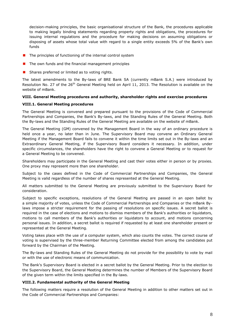decision-making principles, the basic organisational structure of the Bank, the procedures applicable to making legally binding statements regarding property rights and obligations, the procedures for issuing internal regulations and the procedure for making decisions on assuming obligations or disposing of assets whose total value with regard to a single entity exceeds 5% of the Bank's own funds

- $\blacksquare$  The principles of functioning of the internal control system
- $\blacksquare$  The own funds and the financial management principles
- Shares preferred or limited as to voting rights.

The latest amendments to the By-laws of BRE Bank SA (currently mBank S.A.) were introduced by Resolution No. 27 of the  $26<sup>th</sup>$  General Meeting held on April 11, 2013. The Resolution is available on the website of mBank.

# <span id="page-7-0"></span>**VIII. General Meeting procedures and authority, shareholder rights and exercise procedures**

# <span id="page-7-1"></span>**VIII.1. General Meeting procedures**

The General Meeting is convened and prepared pursuant to the provisions of the Code of Commercial Partnerships and Companies, the Bank's By-laws, and the Standing Rules of the General Meeting. Both the By-laws and the Standing Rules of the General Meeting are available on the website of mBank.

The General Meeting (GM) convened by the Management Board in the way of an ordinary procedure is held once a year, no later than in June. The Supervisory Board may convene an Ordinary General Meeting if the Management Board fails to convene it within the time limits set out in the By-laws and an Extraordinary General Meeting, if the Supervisory Board considers it necessary. In addition, under specific circumstances, the shareholders have the right to convene a General Meeting or to request for a General Meeting to be convened.

Shareholders may participate in the General Meeting and cast their votes either in person or by proxies. One proxy may represent more than one shareholder.

Subject to the cases defined in the Code of Commercial Partnerships and Companies, the General Meeting is valid regardless of the number of shares represented at the General Meeting.

All matters submitted to the General Meeting are previously submitted to the Supervisory Board for consideration.

Subject to specific exceptions, resolutions of the General Meeting are passed in an open ballot by a simple majority of votes, unless the Code of Commercial Partnerships and Companies or the mBank Bylaws impose a stricter requirement for the passing of resolutions on specific issues. A secret ballot is required in the case of elections and motions to dismiss members of the Bank's authorities or liquidators, motions to call members of the Bank's authorities or liquidators to account, and motions concerning personal issues. In addition, a secret ballot is required if requested by at least one shareholder present or represented at the General Meeting.

Voting takes place with the use of a computer system, which also counts the votes. The correct course of voting is supervised by the three-member Returning Committee elected from among the candidates put forward by the Chairman of the Meeting.

The By-laws and Standing Rules of the General Meeting do not provide for the possibility to vote by mail or with the use of electronic means of communication.

The Bank's Supervisory Board is elected in a secret ballot by the General Meeting. Prior to the election to the Supervisory Board, the General Meeting determines the number of Members of the Supervisory Board of the given term within the limits specified in the By-laws.

#### <span id="page-7-2"></span>**VIII.2. Fundamental authority of the General Meeting**

The following matters require a resolution of the General Meeting in addition to other matters set out in the Code of Commercial Partnerships and Companies: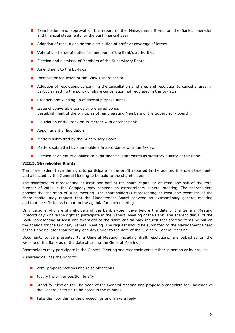- **EXamination and approval of the report of the Management Board on the Bank's operation** and financial statements for the past financial year
- **Adoption of resolutions on the distribution of profit or coverage of losses**
- Vote of discharge of duties for members of the Bank's authorities
- **Election and dismissal of Members of the Supervisory Board**
- **Amendment to the By-laws**
- Increase or reduction of the Bank's share capital
- **Adoption of resolutions concerning the cancellation of shares and resolution to cancel shares, in** particular setting the policy of share cancellation not regulated in the By-laws
- $\blacksquare$  Creation and winding up of special purpose funds
- Issue of convertible bonds or preferred bonds Eestablishment of the principles of remunerating Members of the Supervisory Board
- $\blacksquare$  Liquidation of the Bank or its merger with another bank
- **Appointment of liquidators**
- **Matters submitted by the Supervisory Board**
- **Matters submitted by shareholders in accordance with the By-laws**
- **E** Election of an entity qualified to audit financial statements as statutory auditor of the Bank.

#### <span id="page-8-0"></span>**VIII.3. Shareholder Rights**

The shareholders have the right to participate in the profit reported in the audited financial statements and allocated by the General Meeting to be paid to the shareholders.

The shareholders representing at least one-half of the share capital or at least one-half of the total number of votes in the Company may convene an extraordinary general meeting. The shareholders appoint the chairman of such meeting. The shareholder(s) representing at least one-twentieth of the share capital may request that the Management Board convene an extraordinary general meeting and that specific items be put on the agenda for such meeting.

Only persons who are shareholders of the Bank sixteen days before the date of the General Meeting ("record day") have the right to participate in the General Meeting of the Bank. The shareholder(s) of the Bank representing at least one-twentieth of the share capital may request that specific items be put on the agenda for the Ordinary General Meeting. The request should be submitted to the Management Board of the Bank no later than twenty-one days prior to the date of the Ordinary General Meeting.

Documents to be presented to a General Meeting, including draft resolutions, are published on the website of the Bank as of the date of calling the General Meeting.

Shareholders may participate in the General Meeting and cast their votes either in person or by proxies.

A shareholder has the right to:

- **Note, propose motions and raise objections**
- **Justify his or her position briefly**
- **E** Stand for election for Chairman of the General Meeting and propose a candidate for Chairman of the General Meeting to be noted in the minutes
- $\blacksquare$  Take the floor during the proceedings and make a reply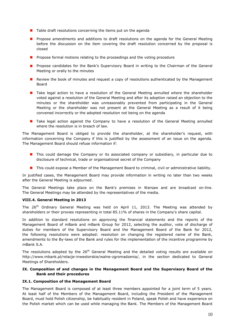- $\blacksquare$  Table draft resolutions concerning the items put on the agenda
- Propose amendments and additions to draft resolutions on the agenda for the General Meeting before the discussion on the item covering the draft resolution concerned by the proposal is closed
- **Propose formal motions relating to the proceedings and the voting procedure**
- **Propose candidates for the Bank's Supervisory Board in writing to the Chairman of the General** Meeting or orally to the minutes
- **Review the book of minutes and request a copy of resolutions authenticated by the Management** Board
- **T** Take legal action to have a resolution of the General Meeting annulled where the shareholder voted against a resolution of the General Meeting and after its adoption raised an objection to the minutes or the shareholder was unreasonably prevented from participating in the General Meeting or the shareholder was not present at the General Meeting as a result of it being convened incorrectly or the adopted resolution not being on the agenda
- **Thake legal action against the Company to have a resolution of the General Meeting annulled** where the resolution is in breach of law.

The Management Board is obliged to provide the shareholder, at the shareholder's request, with information concerning the Company if this is justified by the assessment of an issue on the agenda. The Management Board should refuse information if:

- **This could damage the Company or its associated company or subsidiary, in particular due to** disclosure of technical, trade or organisational secret of the Company
- **This could expose a Member of the Management Board to criminal, civil or administrative liability.**

In justified cases, the Management Board may provide information in writing no later than two weeks after the General Meeting is adjourned.

The General Meetings take place on the Bank's premises in Warsaw and are broadcast on-line. The General Meetings may be attended by the representatives of the media.

#### <span id="page-9-0"></span>**VIII.4. General Meeting in 2013**

The 26<sup>th</sup> Ordinary General Meeting was held on April 11, 2013. The Meeting was attended by shareholders or their proxies representing in total 85.11% of shares in the Company's share capital.

In addition to standard resolutions on approving the financial statements and the reports of the Management Board of mBank and mBank Group for 2012, selecting the auditor, vote of discharge of duties for members of the Supervisory Board and the Management Board of the Bank for 2012, the following resolutions were adopted: resolution on changing the registered name of the Bank, amendments to the By-laws of the Bank and rules for the implementation of the incentive programme by mBank S.A.

The resolutions adopted by the 26<sup>th</sup> General Meeting and the detailed voting results are available on http://www.mbank.pl/relacje-inwestorskie/walne-zgromadzenia/, in the section dedicated to General Meetings of Shareholders.

# <span id="page-9-1"></span>**IX. Composition of and changes in the Management Board and the Supervisory Board of the Bank and their procedures**

#### <span id="page-9-2"></span>**IX.1. Composition of the Management Board**

The Management Board is composed of at least three members appointed for a joint term of 5 years. At least half of the Members of the Management Board, including the President of the Management Board, must hold Polish citizenship, be habitually resident in Poland, speak Polish and have experience on the Polish market which can be used while managing the Bank. The Members of the Management Board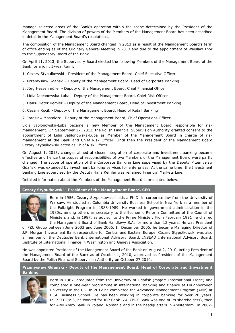manage selected areas of the Bank's operation within the scope determined by the President of the Management Board. The division of powers of the Members of the Management Board has been described in detail in the Management Board's resolutions.

The composition of the Management Board changed in 2013 as a result of the Management Board's term of office ending as of the Ordinary General Meeting in 2013 and due to the appointment of Wiesław Thor to the Supervisory Board of the Bank.

On April 11, 2013, the Supervisory Board elected the following Members of the Management Board of the Bank for a joint 5-year term:

- 1. Cezary Stypułkowski President of the Management Board, Chief Executive Officer
- 2. Przemysław Gdański Deputy of the Management Board, Head of Corporate Banking
- 3. Jörg Hessenmüller Deputy of the Management Board, Chief Financial Officer
- 4. Lidia Jabłonowska-Luba Deputy of the Management Board, Chief Risk Officer
- 5. Hans-Dieter Kemler Deputy of the Management Board, Head of Investment Banking
- 6. Cezary Kocik Deputy of the Management Board, Head of Retail Banking
- 7. Jarosław Mastalerz Deputy of the Management Board, Chief Operations Officer.

Lidia Jabłonowska-Luba became a new Member of the Management Board responsible for risk management. On September 17, 2013, the Polish Financial Supervision Authority granted consent to the appointment of Lidia Jabłonowska-Luba as Member of the Management Board in charge of risk management at the Bank and Chief Risk Officer. Until then the President of the Management Board Cezary Stypułkowski acted as Chief Risk Officer.

On August 1, 2013, changes aimed at closer integration of corporate and investment banking became effective and hence the scopes of responsibilities of two Members of the Management Board were partly changed. The scope of operation of the Corporate Banking Line supervised by the Deputy Przemysław Gdański was extended by investment banking services for enterprises. At the same time, the Investment Banking Line supervised by the Deputy Hans Kemler was renamed Financial Markets Line.

Detailed information about the Members of the Management Board is presented below.

#### **Cezary Stypułkowski - President of the Management Board, CEO**



Born in 1956, Cezary Stypułkowski holds a Ph.D. in corporate law from the University of Warsaw. He studied at Columbia University Business School in New York as a member of the Fulbright Program in 1988-1989. He worked in government administration in the 1980s, among others as secretary to the Economic Reform Committee of the Council of Ministers and, in 1987, as advisor to the Prime Minister. From February 1991 he chaired the Management Board of Bank Handlowy S.A. for more than 12 years. He was President

of PZU Group between June 2003 and June 2006. In December 2006, he became Managing Director of J.P. Morgan Investment Bank responsible for Central and Eastern Europe. Cezary Stypułkowski was also a member of the Deutsche Bank International Advisory Board, INSEAD International Advisory Board, Institute of International Finance in Washington and Geneva Association.

He was appointed President of the Management Board of the Bank on August 2, 2010, acting President of the Management Board of the Bank as of October 1, 2010, approved as President of the Management Board by the Polish Financial Supervision Authority on October 27,2010.

**Przemysław Gdański - Deputy of the Management Board, Head of Corporate and Investment Banking**



Born in 1967, graduated from the University of Gdańsk (major: International Trade) and completed a one-year programme in international banking and finance at Loughborough University in the UK. In 2012 he completed the Advanced Management Program (AMP) at IESE Business School. He has been working in corporate banking for over 20 years. In 1993-1995, he worked for IBP Bank S.A. (BRE Bank was one of its shareholders), then for ABN Amro Bank in Poland, Romania and in the headquarters in Amsterdam. In 2002-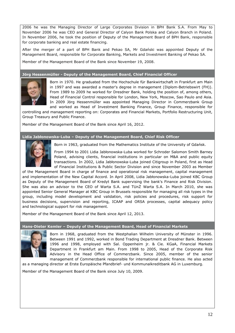2006 he was the Managing Director of Large Corporates Division in BPH Bank S.A. From May to November 2006 he was CEO and General Director of Calyon Bank Polska and Calyon Branch in Poland. In November 2006, he took the position of Deputy of the Management Board of BPH Bank, responsible for corporate banking and real estate financing.

After the merger of a part of BPH Bank and Pekao SA, Mr Gdański was appointed Deputy of the Management Board, responsible for Corporate Banking, Markets and Investment Banking of Pekao SA.

Member of the Management Board of the Bank since November 19, 2008.

# **Jörg Hessenmüller - Deputy of the Management Board, Chief Financial Officer**



Born in 1970. He graduated from the Hochschule für Bankwirtschaft in Frankfurt am Main in 1997 and was awarded a master's degree in management (Diplom-Betriebswirt (FH)). From 1989 to 2009 he worked for Dresdner Bank, holding the position of, among others, Head of Financial Control responsible for London, New York, Moscow, Sao Paulo and Asia. In 2009 Jörg Hessenmüller was appointed Managing Director in Commerzbank Group and worked as Head of Investment Banking Finance, Group Finance, responsible for

controlling and management reporting on: Corporates and Financial Markets, Portfolio Restructuring Unit, Group Treasury and Public Finance.

Member of the Management Board of the Bank since April 16, 2012.

#### **Lidia Jabłonowska-Luba – Deputy of the Management Board, Chief Risk Officer**



Born in 1963, graduated from the Mathematics Institute of the University of Gdańsk.

From 1994 to 2001 Lidia Jabłonowska-Luba worked for Schroder Salomon Smith Barney Poland, advising clients, financial institutions in particular on M&A and public equity transactions. In 2002, Lidia Jabłonowska-Luba joined Citigroup in Poland, first as Head of Financial Institutions & Public Sector Division and since November 2003 as Member

of the Management Board in charge of finance and operational risk management, capital management and implementation of the New Capital Accord. In April 2008, Lidia Jabłonowska-Luba joined KBC Group as Deputy of the Management Board of Kredyt Bank supervising the bank's Finance and Risk Division. She was also an advisor to the CEO of Warta S.A. and TUnŻ Warta S.A. In March 2010, she was appointed Senior General Manager at KBC Group in Brussels responsible for managing all risk types in the group, including model development and validation, risk policies and procedures, risk support for business decisions, supervision and reporting, ICAAP and ORSA processes, capital adequacy policy and technological support for risk management.

Member of the Management Board of the Bank since April 12, 2013.

#### **Hans-Dieter Kemler – Deputy of the Management Board, Head of Financial Markets**



Born in 1968, graduated from the Westphalian Wilhelm University of Münster in 1996. Between 1991 and 1992, worked in Bond Trading Department at Dresdner Bank. Between 1996 and 1998, employed with Sal. Oppenheim jr. & Cie. KGaA, Financial Markets Department in Frankfurt am Main. From 1998 to 2005, Head of the Corporate Risk Advisory in the Head Office of Commerzbank. Since 2005, member of the senior management of Commerzbank responsible for international public finance. He also acted

as a managing director at Erste Europäische Pfandbrief- und Kommunalkreditbank AG in Luxemburg.

Member of the Management Board of the Bank since July 10, 2009.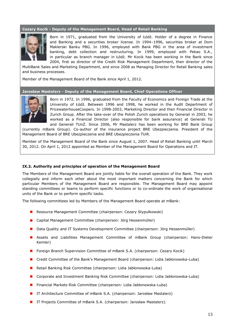#### **Cezary Kocik - Deputy of the Management Board, Head of Retail Banking**



Born in 1971, graduated from the University of Łódź. Holder of a degree in Finance and Banking and a securities broker license. In 1994–1996, securities broker at Dom Maklerski Banku PBG. In 1996, employed with Bank PBG in the area of investment banking, debt collection and restructuring. In 1999, employed with Pekao S.A., in particular as branch manager in Łódź. Mr Kocik has been working in the Bank since 2004, first as director of the Credit Risk Management Department, then director of the

MultiBank Sales and Marketing Department, and since 2008 as Managing Director for Retail Banking sales and business processes.

Member of the Management Board of the Bank since April 1, 2012.

#### **Jarosław Mastalerz - Deputy of the Management Board, Chief Operations Officer**



Born in 1972. In 1996, graduated from the Faculty of Economics and Foreign Trade at the University of Łódź. Between 1996 and 1998, he worked in the Audit Department of PricewaterhouseCoopers. In 1998-2003, Marketing Director and then Financial Director in Zurich Group. After the take-over of the Polish Zurich operations by Generali in 2003, he worked as a Financial Director (also responsible for bank assurance) at Generali TU and Generali TUnŻ. Since 2006, Mr Mastalerz has been working for BRE Bank Group

(currently mBank Group). Co-author of the insurance project BRE Ubezpieczenia. President of the Management Board of BRE Ubezpieczenia and BRE Ubezpieczenia TUiR.

Member of the Management Board of the Bank since August 1, 2007. Head of Retail Banking until March 30, 2012. On April 1, 2012 appointed as Member of the Management Board for Operations and IT.

#### <span id="page-12-0"></span>**IX.2. Authority and principles of operation of the Management Board**

The Members of the Management Board are jointly liable for the overall operation of the Bank. They work collegially and inform each other about the most important matters concerning the Bank for which particular Members of the Management Board are responsible. The Management Board may appoint standing committees or teams to perform specific functions or to co-ordinate the work of organisational units of the Bank or to perform specific tasks.

The following committees led by Members of the Management Board operate at mBank:

- Resource Management Committee (chairperson: Cezary Stypułkowski)
- Capital Management Committee (chairperson: Jörg Hessenmüller)
- **Data Quality and IT Systems Development Committee (chairperson: Jörg Hessenmüller)**
- Assets and Liabilities Management Committee of mBank Group (chairperson: Hans-Dieter Kemler)
- **Foreign Branch Supervision Committee of mBank S.A. (chairperson: Cezary Kocik)**
- Credit Committee of the Bank's Management Board (chairperson: Lidia Jabłonowska-Luba)
- Retail Banking Risk Committee (chairperson: Lidia Jabłonowska-Luba)
- Corporate and Investment Banking Risk Committee (chairperson: Lidia Jabłonowska-Luba)
- Financial Markets Risk Committee (chairperson: Lidia Jabłonowska-Luba)
- IT Architecture Committee of mBank S.A. (chairperson: Jarosław Mastalerz)
- IT Projects Committee of mBank S.A. (chairperson: Jarosław Mastalerz).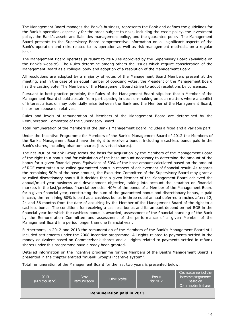The Management Board manages the Bank's business, represents the Bank and defines the guidelines for the Bank's operation, especially for the areas subject to risks, including the credit policy, the investment policy, the Bank's assets and liabilities management policy, and the guarantee policy. The Management Board presents to the Supervisory Board comprehensive information on all significant aspects of the Bank's operation and risks related to its operation as well as risk management methods, on a regular basis.

The Management Board operates pursuant to its Rules approved by the Supervisory Board (available on the Bank's website). The Rules determine among others the issues which require consideration of the Management Board as a collegial body and adoption of a resolution of the Management Board.

All resolutions are adopted by a majority of votes of the Management Board Members present at the meeting, and in the case of an equal number of opposing votes, the President of the Management Board has the casting vote. The Members of the Management Board strive to adopt resolutions by consensus.

Pursuant to best practice principle, the Rules of the Management Board stipulate that a Member of the Management Board should abstain from participating in decision-making on such matters where a conflict of interest arises or may potentially arise between the Bank and the Member of the Management Board, his or her spouse or relatives.

Rules and levels of remuneration of Members of the Management Board are determined by the Remuneration Committee of the Supervisory Board.

Total remuneration of the Members of the Bank's Management Board includes a fixed and a variable part.

Under the Incentive Programme for Members of the Bank's Management Board of 2012 the Members of the Bank's Management Board have the right to receive a bonus, including a cashless bonus paid in the Bank's shares, including phantom shares (i.e. virtual shares).

The net ROE of mBank Group forms the basis for acquisition by the Members of the Management Board of the right to a bonus and for calculation of the base amount necessary to determine the amount of the bonus for a given financial year. Equivalent of 50% of the base amount calculated based on the amount of ROE constitutes a so-called guaranteed bonus in respect of achievement of financial result. As regards the remaining 50% of the base amount, the Executive Committee of the Supervisory Board may grant a so-called discretionary bonus if it decides that a given Member of the Management Board achieved the annual/multi-year business and development objective, taking into account the situation on financial markets in the last/previous financial period/s. 40% of the bonus of a Member of the Management Board for a given financial year, constituting the sum of the guaranteed bonus and discretionary bonus, is paid in cash, the remaining 60% is paid as a cashless bonus in three equal annual deferred tranches after: 12, 24 and 36 months from the date of acquiring by the Member of the Management Board of the right to a cashless bonus. The conditions for receiving a cashless bonus and its amount depend on net ROE in the financial year for which the cashless bonus is awarded, assessment of the financial standing of the Bank by the Remuneration Committee and assessment of the performance of a given Member of the Management Board in a period longer than one financial year.

Furthermore, in 2012 and 2013 the remuneration of the Members of the Bank's Management Board still included settlements under the 2008 incentive programme. All rights related to payments settled in the money equivalent based on Commerzbank shares and all rights related to payments settled in mBank shares under this programme have already been granted.

Detailed information on the incentive programme for the Members of the Bank's Management Board is presented in the chapter entitled "mBank Group's incentive system".

Total remuneration of the Management Board for the last two years is presented below:

| 2013<br>(PLN thousand)           | <b>Basic</b><br>remuneration | Other profits | <b>Bonus</b><br>for 2012 | Cash settlement of the<br>incentive programme<br>based on<br>Commerzbank shares |  |  |
|----------------------------------|------------------------------|---------------|--------------------------|---------------------------------------------------------------------------------|--|--|
| <b>Remuneration paid in 2013</b> |                              |               |                          |                                                                                 |  |  |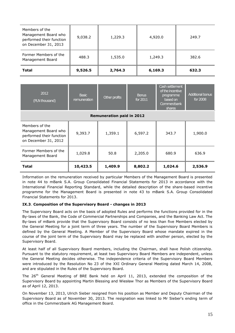| Members of the<br>Management Board who<br>performed their function<br>on December 31, 2013 | 9,038.2 | 1,229.3 | 4,920.0 | 249.7 |
|--------------------------------------------------------------------------------------------|---------|---------|---------|-------|
| Former Members of the<br>Management Board                                                  | 488.3   | 1,535.0 | 1,249.3 | 382.6 |
| <b>Total</b>                                                                               | 9,526.5 | 2,764.3 | 6,169.3 | 632.3 |

| 2012<br>(PLN thousand)                                                                     | <b>Basic</b><br>remuneration | Other profits | <b>Bonus</b><br>for 2011 | Cash settlement<br>of the incentive<br>programme<br>based on<br>Commerzbank<br>shares | <b>Additional bonus</b><br>for 2008 |  |  |  |
|--------------------------------------------------------------------------------------------|------------------------------|---------------|--------------------------|---------------------------------------------------------------------------------------|-------------------------------------|--|--|--|
| <b>Remuneration paid in 2012</b>                                                           |                              |               |                          |                                                                                       |                                     |  |  |  |
| Members of the<br>Management Board who<br>performed their function<br>on December 31, 2012 | 9,393.7                      | 1,359.1       | 6,597.2                  | 343.7                                                                                 | 1,900.0                             |  |  |  |
| Former Members of the<br>Management Board                                                  | 1,029.8                      | 50.8          | 2,205.0                  | 680.9                                                                                 | 636.9                               |  |  |  |
| <b>Total</b>                                                                               | 10,423.5                     | 1,409.9       | 8,802.2                  | 1,024.6                                                                               | 2,536.9                             |  |  |  |

Information on the remuneration received by particular Members of the Management Board is presented in note 44 to mBank S.A. Group Consolidated Financial Statements for 2013 in accordance with the International Financial Reporting Standard, while the detailed description of the share-based incentive programme for the Management Board is presented in note 43 to mBank S.A. Group Consolidated Financial Statements for 2013.

# <span id="page-14-0"></span>**IX.3**. **Composition of the Supervisory Board - changes in 2013**

The Supervisory Board acts on the basis of adopted Rules and performs the functions provided for in the By-laws of the Bank, the Code of Commercial Partnerships and Companies, and the Banking Law Act. The By-laws of mBank provide that the Supervisory Board consists of no less than five Members elected by the General Meeting for a joint term of three years. The number of the Supervisory Board Members is defined by the General Meeting. A Member of the Supervisory Board whose mandate expired in the course of the joint term of the Supervisory Board may be replaced with another person, elected by the Supervisory Board.

At least half of all Supervisory Board members, including the Chairman, shall have Polish citizenship. Pursuant to the statutory requirement, at least two Supervisory Board Members are independent, unless the General Meeting decides otherwise. The independence criteria of the Supervisory Board Members were introduced by the Resolution No 23 of the XXI Ordinary General Meeting dated March 14, 2008, and are stipulated in the Rules of the Supervisory Board.

The 26th General Meeting of BRE Bank held on April 11, 2013, extended the composition of the Supervisory Board by appointing Martin Blessing and Wiesław Thor as Members of the Supervisory Board as of April 12, 2013.

On November 13, 2013, Ulrich Sieber resigned from his position as Member and Deputy Chairman of the Supervisory Board as of November 30, 2013. The resignation was linked to Mr Sieber's ending term of office in the Commerzbank AG Management Board.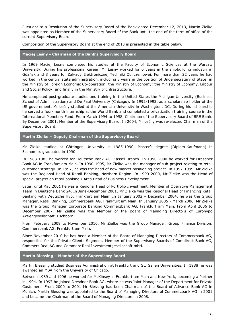Pursuant to a Resolution of the Supervisory Board of the Bank dated December 12, 2013, Martin Zielke was appointed as Member of the Supervisory Board of the Bank until the end of the term of office of the current Supervisory Board.

Composition of the Supervisory Board at the end of 2013 is presented in the table below.

# **Maciej Leśny - Chairman of the Bank's Supervisory Board**

In 1969 Maciej Leśny completed his studies at the Faculty of Economic Sciences at the Warsaw University. During his professional career, Mr Leśny worked for 6 years in the shipbuilding industry in Gdańsk and 8 years for Zakłady Elektronicznej Techniki Obliczeniowej. For more than 22 years he had worked in the central state administration, including 8 years in the position of Undersecretary of State: in the Ministry of Foreign Economic Co-operation; the Ministry of Economy; the Ministry of Economy, Labour and Social Policy; and finally in the Ministry of Infrastructure.

He completed post-graduate studies and training in the United States the Michigan University (Business School of Administration) and De Paul University (Chicago). In 1992-1993, as a scholarship holder of the US government, Mr Leśny studied at the American University in Washington, DC. During his scholarship he served a four-month internship at the World Bank and completed a privatization training course in the International Monetary Fund. From March 1994 to 1998, Chairman of the Supervisory Board of BRE Bank. By December 2001, Member of the Supervisory Board. In 2004, Mr Leśny was re-elected Chairman of the Supervisory Board.

**Martin Zielke – Deputy Chairman of the Supervisory Board**

Mr Zielke studied at Göttingen University in 1985-1990, Master's degree (Diplom-Kaufmann) in Economics graduated in 1990.

In 1983-1985 he worked for Deutsche Bank AG, Kassel Branch. In 1990-2000 he worked for Dresdner Bank AG in Frankfurt am Main. In 1990-1995, Mr Zielke was the manager of sub-project relating to retail customer strategy. In 1997, he was the head of new market positioning project. In 1997-1999, Mr Zielke was the Regional Head of Retail Banking, Northern Region. In 1999-2000, Mr Zielke was the Head of special project on retail banking / Area Head of Business Development

Later, until May 2001 he was a Regional Head of Portfolio Investment, Member of Operative Management Team in Deutsche Bank 24. In June-December 2001, Mr Zielke was the Regional Head of Financing Retail Banking with Deutsche Hyp, Frankfurt am Main. In January 2002 – December 2004, he was the Group Manager, Retail Banking, Commerzbank AG, Frankfurt am Main. In January 2005 - March 2006, Mr Zielke was the Group Manager Corporate Banking Commerzbank AG, Frankfurt am Main. From April 2006 to December 2007, Mr Zielke was the Member of the Board of Managing Directors of Eurohypo Aktiengesellschaft, Eschborn.

From February 2008 to November 2010, Mr Zielke was the Group Manager, Group Finance Division, Commerzbank AG, Frankfurt am Main.

Since November 2010 he has been a Member of the Board of Managing Directors of Commerzbank AG, responsible for the Private Clients Segment. Member of the Supervisory Boards of Comdirect Bank AG, Commerz Real AG and Commerz Real Investmentgesellschaft mbH.

**Martin Blessing – Member of the Supervisory Board**

Martin Blessing studied Business Administration at Frankfurt and St. Gallen Universities. In 1988 he was awarded an MBA from the University of Chicago.

Between 1989 and 1996 he worked for McKinsey in Frankfurt am Main and New York, becoming a Partner in 1994. In 1997 he joined Dresdner Bank AG, where he was Joint Manager of the Department for Private Customers. From 2000 to 2001 Mr Blessing has been Chairman of the Board of Advance Bank AG in Munich. Martin Blessing was appointed to the Board of Managing Directors of Commerzbank AG in 2001 and became the Chairman of the Board of Managing Directors in 2008.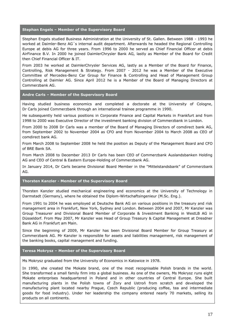# **Stephan Engels – Member of the Supervisory Board**

Stephan Engels studied Business Administration at the University of St. Gallen. Between 1988 - 1993 he worked at Daimler-Benz AG´s internal audit department. Afterwards he headed the Regional Controlling Europe at debis AG for three years. From 1996 to 2000 he served as Chief Financial Officer at debis AirFinance B.V. In 2000 he joined DaimlerChrysler Bank AG, lastly as Member of the Board for Credit then Chief Financial Officer & IT.

From 2003 he worked at DaimlerChrysler Services AG, lastly as a Member of the Board for Finance, Controlling, Risk Management & Strategy. From 2007 - 2012 he was a Member of the Executive Committee of Mercedes-Benz Car Group for Finance & Controlling and Head of Management Group Controlling at Daimler AG. Since April 2012 he is a Member of the Board of Managing Directors at Commerzbank AG.

#### **Andre Carls – Member of the Supervisory Board**

Having studied business economics and completed a doctorate at the University of Cologne, Dr Carls joined Commerzbank through an international trainee programme in 1990.

He subsequently held various positions in Corporate Finance and Capital Markets in Frankfurt and from 1998 to 2000 was Executive Director of the investment banking division of Commerzbank in London.

From 2000 to 2008 Dr Carls was a member of the Board of Managing Directors of comdirect bank AG, from September 2002 to November 2004 as CFO and from November 2004 to March 2008 as CEO of comdirect bank AG.

From March 2008 to September 2008 he held the position as Deputy of the Management Board and CFO of BRE Bank SA.

From March 2008 to December 2013 Dr Carls has been CEO of Commerzbank Auslandsbanken Holding AG and CEO of Central & Eastern Europe-Holding of Commerzbank AG.

In January 2014, Dr Carls became Divisional Board Member in the "Mittelstandsbank" of Commerzbank AG.

#### **Thorsten Kanzler - Member of the Supervisory Board**

Thorsten Kanzler studied mechanical engineering and economics at the University of Technology in Darmstadt (Germany), where he obtained the Diplom-Wirtschaftsingenieur (M.Sc. Eng.).

From 1991 to 2004 he was employed at Deutsche Bank AG on various positions in the treasury and risk management area in Frankfurt, New York, Sydney and London. Between 2004 and 2007, Mr Kanzler was Group Treasurer and Divisional Board Member of Corporate & Investment Banking in WestLB AG in Düsseldorf. From May 2007, Mr Kanzler was Head of Group Treasury & Capital Management at Dresdner Bank AG in Frankfurt am Main.

Since the beginning of 2009, Mr Kanzler has been Divisional Board Member for Group Treasury at Commerzbank AG. Mr Kanzler is responsible for assets and liabilities management, risk management of the banking books, capital management and funding.

# **Teresa Mokrysz – Member of the Supervisory Board**

Ms Mokrysz graduated from the University of Economics in Katowice in 1978.

In 1990, she created the Mokate brand, one of the most recognisable Polish brands in the world. She transformed a small family firm into a global business. As one of the owners, Ms Mokrysz runs eight Mokate enterprises headquartered in Poland and in other countries of Central Europe. She built manufacturing plants in the Polish towns of Żory and Ustroń from scratch and developed the manufacturing plant located nearby Prague, Czech Republic (producing coffee, tea and intermediate goods for food industry). Under her leadership the company entered nearly 70 markets, selling its products on all continents.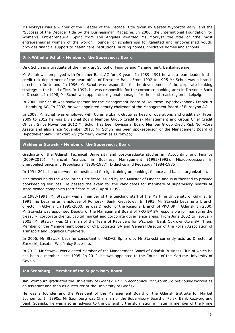Ms Mokrysz was a winner of the "Leader of the Decade" title given by Gazeta Wyborcza daily, and the "Success of the Decade" title by the Businessman Magazine. In 2000, the International Foundation for Women's Entrepreneurial Spirit from Los Angeles awarded Ms Mokrysz the title of "the most entrepreneurial woman of the world". Founder of scholarships for talented and impoverished youth, provides financial support to health care institutions, nursing homes, children's homes and schools.

#### **Dirk Wilhelm Schuh - Member of the Supervisory Board**

Dirk Schuh is a graduate of the Frankfurt School of Finance and Management, Bankakademie.

Mr Schuh was employed with Dresdner Bank AG for 19 years. In 1989–1991 he was a team leader in the credit risk department of the head office of Dresdner Bank. From 1992 to 1995 Mr Schuh was a branch director in Dortmund. In 1996, Mr Schuh was responsible for the development of the corporate banking strategy in the head office. In 1997, he was responsible for the corporate banking area in Dresdner Bank in Dresden. In 1998, Mr Schuh was appointed regional manager for the south-east region in Leipzig.

In 2000, Mr Schuh was spokesperson for the Management Board of Deutsche Hypothekenbank Frankfurt – Hamburg AG. In 2002, he was appointed deputy chairman of the Management Board of Eurohypo AG.

In 2008, Mr Schuh was employed with Commerzbank Group as head of operations and credit risk. From 2009 to 2012 he was Divisional Board Member Group Credit Risk Management and Group Chief Credit Officer. Since November 2012 Mr Schuh has been Divisional Board Member Group Credit Risk Non-Core Assets and also since November 2013, Mr Schuh has been spokesperson of the Management Board of Hypothekenbank Frankfurt AG (formerly known as Eurohypo).

#### **Waldemar Stawski - Member of the Supervisory Board**

Graduate of the Gdańsk Technical University and post-graduate studies in: Accounting and Finance (2009-2010), Financial Analysis in Business Management (1992-1993), Microprocessors in Energoelectronics and Propulsions (1986-1987), Didactics and Pedagogy (1984-1985).

In 1991-2011 he underwent domestic and foreign training on banking, finance and bank's organization.

Mr Stawski holds the Accounting Certificate issued by the Minister of Finance and is authorised to provide bookkeeping services. He passed the exam for the candidates for members of supervisory boards at state-owned companies (certificate MPW 8 April 1995).

In 1983-1991, Mr Stawski was a member of the teaching staff of the Martime University of Gdynia. In 1991, he became an employee of Pomorski Bank Kredytowy. In 1993, Mr Stawski became a branch director in Gdynia. In 1995-2000, he was Director of the Regional Branch of PKO BP in Gdańsk. In 2000, Mr Stawski was appointed Deputy of the Management Board of PKO BP SA responsible for managing the treasury, corporate clients, capital market and corporate governance areas. From June 2002 to February 2003, Mr Stawski was Chairman of the Team of Receivers for Wschodni Bank Cukrownictwa SA. Then, Member of the Management Board of CTL Logistics SA and General Director of the Polish Association of Transport and Logistics Employers.

In 2006, Mr Stawski became consultant of ALDAZ Sp. z o.o. Mr Stawski currently acts as Director at Zarzecki, Lasota i Wspólnicy Sp. z o.o.

In 2012, Mr Stawski was elected Member of the Management Board of Gdańsk Business Club of which he has been a member since 1995. In 2012, he was appointed to the Council of the Martime University of Gdynia.

# **Jan Szomburg – Member of the Supervisory Board**

Jan Szomburg graduated the University of Gdańsk, PhD in economics. Mr Szomburg previously worked as an assistant and then as a lecturer at the University of Gdańsk.

He was a founder and the President of the Management Board of the Gdańsk Institute for Market Economics. In 1990s, Mr Szomburg was Chairman of the Supervisory Board of Polski Bank Rozwoju and Bank Gdański. He was also an advisor to the ownership transformation minister, a member of the Prime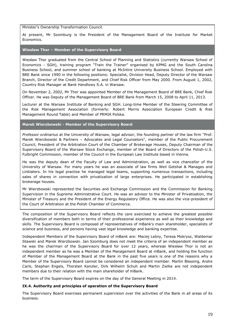Minister's Ownership Transformation Council.

At present, Mr Szomburg is the President of the Management Board of the Institute for Market Economics.

### **Wiesław Thor – Member of the Supervisory Board**

Wiesław Thor graduated from the Central School of Planning and Statistics (currently Warsaw School of Economics - SGH), training program "Train the Trainer" organised by KPMG and the South Carolina Business School, and summer school of banking at McIntire University Business School. Employed with BRE Bank since 1990 in the following positions: Specialist, Division Head, Deputy Director of the Warsaw Branch, Director of the Credit Department, and Chief Risk Officer from May 2000. From August 1, 2002, Country Risk Manager at Bank Handlowy S.A. in Warsaw.

On November 2, 2002, Mr Thor was appointed Member of the Management Board of BRE Bank, Chief Risk Officer. He was Deputy of the Management Board of BRE Bank from March 15, 2008 to April 11, 2013.

Lecturer at the Warsaw Institute of Banking and SGH. Long-time Member of the Steering Committee of the Risk Management Association (formerly: Robert Morris Association European Credit & Risk Management Round Table) and Member of PRMIA Polska.

# **Marek Wierzbowski - Member of the Supervisory Board**

*Professor ordinarius* at the University of Warsaw, legal advisor, the founding partner of the law firm "Prof. Marek Wierzbowski & Partners – Advocates and Legal Counselors", member of the Public Procurement Council, President of the Arbitration Court of the Chamber of Brokerage Houses, Deputy Chairman of the Supervisory Board of the Warsaw Stock Exchange, member of the Board of Directors of the Polish-U.S. Fulbright Commission, member of the Council in the European Law Institute based in Vienna.

He was the deputy dean of the Faculty of Law and Administration, as well as vice chancellor of the University of Warsaw. For many years he was an associate of law firms Weil Gotshal & Manages and Linklaters. In his legal practise he managed legal teams, supporting numerous transactions, including sales of shares in connection with privatization of large enterprises. He participated in establishing brokerage houses.

Mr Wierzbowski represented the Securities and Exchange Commission and the Commission for Banking Supervision in the Supreme Administrative Court. He was an advisor to the Minister of Privatisation, the Minister of Treasury and the President of the Energy Regulatory Office. He was also the vice-president of the Court of Arbitration at the Polish Chamber of Commerce.

The composition of the Supervisory Board reflects the care exercised to achieve the greatest possible diversification of members both in terms of their professional experience as well as their knowledge and skills. The Supervisory Board is composed of representatives of mBank's main shareholder, specialists of science and business, and persons having vast legal knowledge and banking expertise.

Independent Members of the Supervisory Board of mBank are: Maciej Leśny, Teresa Mokrysz, Waldemar Stawski and Marek Wierzbowski. Jan Szomburg does not meet the criteria of an independent member as he was the chairman of the Supervisory Board for over 12 years, whereas Wiesław Thor is not an independent member as he was a Member of the Management Board at mBank, and holding the function of Member of the Management Board at the Bank in the past five years is one of the reasons why a Member of the Supervisory Board cannot be considered an independent member. Martin Blessing, Andre Carls, Stephan Engels, Thorsten Kanzler, Dirk Wilhelm Schuh and Martin Zielke are not independent members due to their relation with the main shareholder of mBank.

The term of the Supervisory Board expires on the day of the General Meeting in 2014.

# <span id="page-18-0"></span>**IX.4. Authority and principles of operation of the Supervisory Board**

The Supervisory Board exercises permanent supervision over the activities of the Bank in all areas of its business.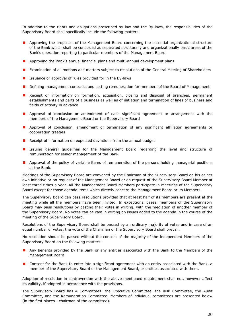In addition to the rights and obligations prescribed by law and the By-laws, the responsibilities of the Supervisory Board shall specifically include the following matters:

- **Approving the proposals of the Management Board concerning the essential organizational structure** of the Bank which shall be construed as separated structurally and organizationally basic areas of the Bank's operation reporting to particular members of the Management Board
- **Approving the Bank's annual financial plans and multi-annual development plans**
- **EXamination of all motions and matters subject to resolutions of the General Meeting of Shareholders**
- Issuance or approval of rules provided for in the By-laws
- **Defining management contracts and setting remuneration for members of the Board of Management**
- **Receipt of information on formation, acquisition, closing and disposal of branches, permanent** establishments and parts of a business as well as of initiation and termination of lines of business and fields of activity in advance
- **Approval of conclusion or amendment of each significant agreement or arrangement with the** members of the Management Board or the Supervisory Board
- **Approval of conclusion, amendment or termination of any significant affiliation agreements or** cooperation treaties
- Receipt of information on expected deviations from the annual budget
- **I** Issuing general guidelines for the Management Board regarding the level and structure of remuneration for senior management of the Bank
- **Approval of the policy of variable items of remuneration of the persons holding managerial positions** at the Bank.

Meetings of the Supervisory Board are convened by the Chairman of the Supervisory Board on his or her own initiative or on request of the Management Board or on request of the Supervisory Board Member at least three times a year. All the Management Board Members participate in meetings of the Supervisory Board except for those agenda items which directly concern the Management Board or its Members.

The Supervisory Board can pass resolutions provided that at least half of its members are present at the meeting while all the members have been invited. In exceptional cases, members of the Supervisory Board may pass resolutions by casting their votes in writing, with the mediation of another member of the Supervisory Board. No votes can be cast in writing on issues added to the agenda in the course of the meeting of the Supervisory Board.

Resolutions of the Supervisory Board shall be passed by an ordinary majority of votes and in case of an equal number of votes, the vote of the Chairman of the Supervisory Board shall prevail.

No resolution should be passed without the consent of the majority of the Independent Members of the Supervisory Board on the following matters:

- **A** Any benefits provided by the Bank or any entities associated with the Bank to the Members of the Management Board
- **Consent for the Bank to enter into a significant agreement with an entity associated with the Bank, a** member of the Supervisory Board or the Management Board, or entities associated with them.

Adoption of resolution in contravention with the above mentioned requirement shall not, however affect its validity, if adopted in accordance with the provisions.

The Supervisory Board has 4 Committees: the Executive Committee, the Risk Committee, the Audit Committee, and the Remuneration Committee. Members of individual committees are presented below (in the first places - chairman of the committee).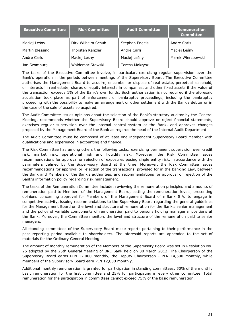| <b>Executive Committee</b> | <b>Risk Committee</b> | <b>Audit Committee</b> | Remuneration<br><b>Committee</b> |
|----------------------------|-----------------------|------------------------|----------------------------------|
| Maciej Leśny               | Dirk Wilhelm Schuh    | <b>Stephan Engels</b>  | Andre Carls                      |
| Martin Blessing            | Thorsten Kanzler      | Andre Carls            | Maciej Leśny                     |
| Andre Carls                | Maciej Leśny          | Maciej Leśny           | Marek Wierzbowski                |
| Jan Szomburg               | Waldemar Stawski      | Teresa Mokrysz         |                                  |

The tasks of the Executive Committee involve, in particular, exercising regular supervision over the Bank's operation in the periods between meetings of the Supervisory Board. The Executive Committee authorises the Management Board to acquire, encumber or dispose of real estate, perpetual leasehold, or interests in real estate, shares or equity interests in companies, and other fixed assets if the value of the transaction exceeds 1% of the Bank's own funds. Such authorisation is not required if the aforesaid acquisition took place as part of enforcement or bankruptcy proceedings, including the bankruptcy proceeding with the possibility to make an arrangement or other settlement with the Bank's debtor or in the case of the sale of assets so acquired.

The Audit Committee issues opinions about the selection of the Bank's statutory auditor by the General Meeting, recommends whether the Supervisory Board should approve or reject financial statements, exercises regular supervision over the internal control system at the Bank, and approves changes proposed by the Management Board of the Bank as regards the head of the Internal Audit Department.

The Audit Committee must be composed of at least one independent Supervisory Board Member with qualifications and experience in accounting and finance.

The Risk Committee has among others the following tasks: exercising permanent supervision over credit risk, market risk, operational risk and liquidity risk. Moreover, the Risk Committee issues recommendations for approval or rejection of exposures posing single entity risk, in accordance with the parameters defined by the Supervisory Board at the time. Moreover, the Risk Committee issues recommendations for approval or rejection of the transactions, provided for in the Banking Law, between the Bank and Members of the Bank's authorities, and recommendations for approval or rejection of the Bank's information policy regarding risk management.

The tasks of the Remuneration Committee include: reviewing the remuneration principles and amounts of remuneration paid to Members of the Management Board, setting the remuneration levels, presenting opinions concerning approval for Members of the Management Board of mBank S.A. to engage in competitive activity, issuing recommendations to the Supervisory Board regarding the general guidelines for the Management Board on the level and structure of remuneration for the Bank's senior management and the policy of variable components of remuneration paid to persons holding managerial positions at the Bank. Moreover, the Committee monitors the level and structure of the remuneration paid to senior managers.

All standing committees of the Supervisory Board make reports pertaining to their performance in the past reporting period available to shareholders. The aforesaid reports are appended to the set of materials for the Ordinary General Meeting.

The amount of monthly remuneration of the Members of the Supervisory Board was set in Resolution No. 26 adopted by the 25th General Meeting of BRE Bank held on 30 March 2012. The Chairperson of the Supervisory Board earns PLN 17,000 monthly, the Deputy Chairperson - PLN 14,500 monthly, while members of the Supervisory Board earn PLN 12,000 monthly.

Additional monthly remuneration is granted for participation in standing committees: 50% of the monthly basic remuneration for the first committee and 25% for participating in every other committee. Total remuneration for the participation in committees cannot exceed 75% of the basic remuneration.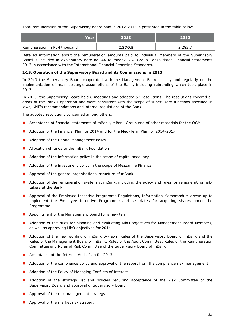Total remuneration of the Supervisory Board paid in 2012-2013 is presented in the table below.

| Year                         | 2013    | 2012    |
|------------------------------|---------|---------|
| Remuneration in PLN thousand | 2,370.5 | 2,283.7 |

Detailed information about the remuneration amounts paid to individual Members of the Supervisory Board is included in explanatory note no. 44 to mBank S.A. Group Consolidated Financial Statements 2013 in accordance with the International Financial Reporting Standards.

# <span id="page-21-0"></span>**IX.5. Operation of the Supervisory Board and its Commissions in 2013**

In 2013 the Supervisory Board cooperated with the Management Board closely and regularly on the implementation of main strategic assumptions of the Bank, including rebranding which took place in 2013.

In 2013, the Supervisory Board held 6 meetings and adopted 57 resolutions. The resolutions covered all areas of the Bank's operation and were consistent with the scope of supervisory functions specified in laws, KNF's recommendations and internal regulations of the Bank.

The adopted resolutions concerned among others:

- **Acceptance of financial statements of mBank, mBank Group and of other materials for the OGM**
- Adoption of the Financial Plan for 2014 and for the Med-Term Plan for 2014-2017
- **Adoption of the Capital Management Policy**
- **Allocation of funds to the mBank Foundation**
- **Adoption of the information policy in the scope of capital adequacy**
- **Adoption of the investment policy in the scope of Mezzanine Finance**
- **Approval of the general organisational structure of mBank**
- **Adoption of the remuneration system at mBank, including the policy and rules for remunerating risk**takers at the Bank
- **Approval of the Employee Incentive Programme Regulations, Information Memorandum drawn up to** implement the Employee Incentive Programme and set dates for acquiring shares under the Programme
- **Appointment of the Management Board for a new term**
- **Adoption of the rules for planning and evaluating MbO objectives for Management Board Members,** as well as approving MbO objectives for 2014
- **A** Adoption of the new wording of mBank By-laws, Rules of the Supervisory Board of mBank and the Rules of the Management Board of mBank, Rules of the Audit Committee, Rules of the Remuneration Committee and Rules of Risk Committee of the Supervisory Board of mBank
- Acceptance of the Internal Audit Plan for 2013
- **Adoption of the compliance policy and approval of the report from the compliance risk management**
- Adoption of the Policy of Managing Conflicts of Interest
- **Adoption of the strategy list and policies requiring acceptance of the Risk Committee of the** Supervisory Board and approval of Supervisory Board
- **Approval of the risk management strategy**
- **Approval of the market risk strategy.**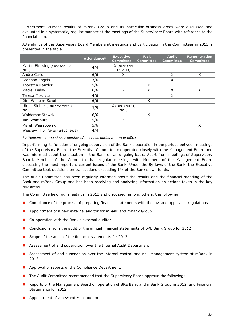Furthermore, current results of mBank Group and its particular business areas were discussed and evaluated in a systematic, regular manner at the meetings of the Supervisory Board with reference to the financial plan.

Attendance of the Supervisory Board Members at meetings and participation in the Committees in 2013 is presented in the table.

|                                     | Attendance* | <b>Executive</b><br><b>Committee</b> | <b>Risk</b><br><b>Committee</b> | <b>Audit</b><br><b>Committee</b> | <b>Remuneration</b><br><b>Committee</b> |
|-------------------------------------|-------------|--------------------------------------|---------------------------------|----------------------------------|-----------------------------------------|
| Martin Blessing (since April 12,    | 4/4         | X (since April                       |                                 |                                  |                                         |
| 2013)                               |             | 12, 2013)                            |                                 |                                  |                                         |
| Andre Carls                         | 6/6         | X                                    |                                 | X                                | X                                       |
| Stephan Engels                      | 3/6         |                                      |                                 | X                                |                                         |
| Thorsten Kanzler                    | 5/6         |                                      | X                               |                                  |                                         |
| Maciej Leśny                        | 6/6         | X                                    | X                               | X                                | X                                       |
| Teresa Mokrysz                      | 4/6         |                                      |                                 | X                                |                                         |
| Dirk Wilhelm Schuh                  | 6/6         |                                      | X                               |                                  |                                         |
| Ulrich Sieber (until November 30,   | 3/5         | X (until April 11,                   |                                 |                                  |                                         |
| 2013)                               |             | 2013)                                |                                 |                                  |                                         |
| Waldemar Stawski                    | 6/6         |                                      | X                               |                                  |                                         |
| Jan Szomburg                        | 5/6         | X                                    |                                 |                                  |                                         |
| Marek Wierzbowski                   | 5/6         |                                      |                                 |                                  | X                                       |
| Wiesław Thor (since April 12, 2013) | 4/4         |                                      |                                 |                                  |                                         |

*\* Attendance at meetings / number of meetings during a term of office*

In performing its function of ongoing supervision of the Bank's operation in the periods between meetings of the Supervisory Board, the Executive Committee co-operated closely with the Management Board and was informed about the situation in the Bank on an ongoing basis. Apart from meetings of Supervisory Board, Member of the Committee has regular meetings with Members of the Management Board discussing the most important current issues of the Bank. Under the By-laws of the Bank, the Executive Committee took decisions on transactions exceeding 1% of the Bank's own funds.

The Audit Committee has been regularly informed about the results and the financial standing of the Bank and mBank Group and has been receiving and analysing information on actions taken in the key risk areas.

The Committee held four meetings in 2013 and discussed, among others, the following:

- **OF** Compliance of the process of preparing financial statements with the law and applicable regulations
- **Appointment of a new external auditor for mBank and mBank Group**
- Co-operation with the Bank's external auditor
- **D** Conclusions from the audit of the annual financial statements of BRE Bank Group for 2012
- Scope of the audit of the financial statements for  $2013$
- **Assessment of and supervision over the Internal Audit Department**
- **Assessment of and supervision over the internal control and risk management system at mBank in** 2012
- **Approval of reports of the Compliance Department.**
- **The Audit Committee recommended that the Supervisory Board approve the following:**
- **Reports of the Management Board on operation of BRE Bank and mBank Group in 2012, and Financial** Statements for 2012
- **Appointment of a new external auditor**